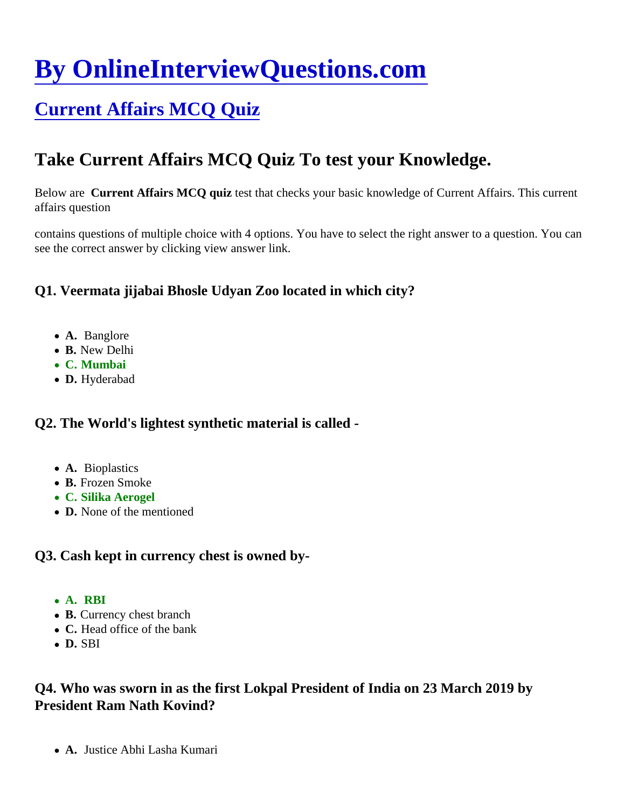# [By OnlineInterviewQuestions.com](https://www.onlineinterviewquestions.com/)

# [Current Affairs MCQ Quiz](https://www.onlineinterviewquestions.com/current-affairs-mcq-quiz/)

# Take Current Affairs MCQ Quiz To test your Knowledge.

Below are Current Affairs MCQ quiz test that checks your basic knowledge of Current Affairs. This current affairs question

contains questions of multiple choice with 4 options. You have to select the right answer to a question. You can see the correct answer by clicking view answer link.

Q1. Veermata jijabai Bhosle Udyan Zoo located in which city?

- A. Banglore
- B. New Delhi
- C. Mumbai
- D. Hyderabad

Q2. The World's lightest synthetic material is called -

- A. Bioplastics
- B. Frozen Smoke
- C. Silika Aerogel
- D. None of the mentioned

Q3. Cash kept in currency chest is owned by-

- A. RBI
- B. Currency chest branch
- C. Head office of the bank
- D. SBI

Q4. Who was sworn in as the first Lokpal President of India on 23 March 2019 by President Ram Nath Kovind?

A. Justice Abhi Lasha Kumari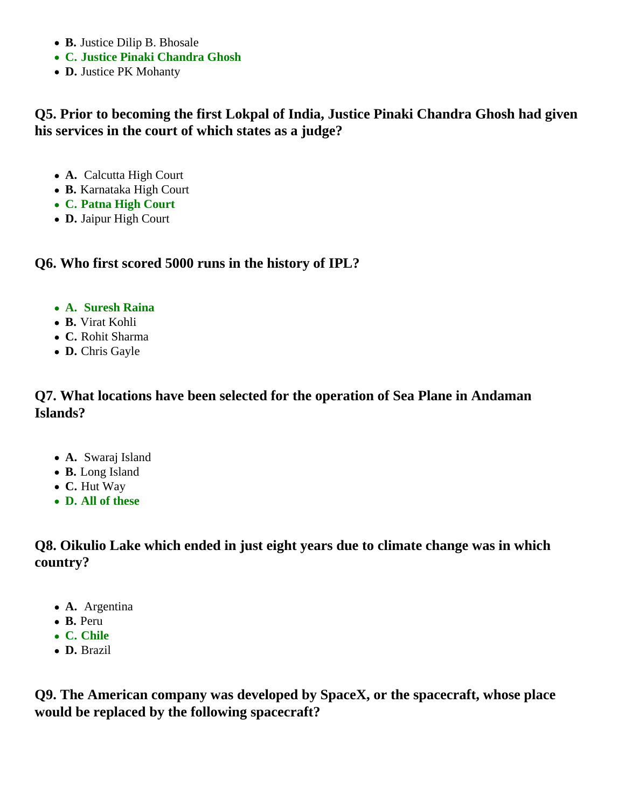- **B.** Justice Dilip B. Bhosale
- **C. Justice Pinaki Chandra Ghosh**
- **D.** Justice PK Mohanty

# **Q5. Prior to becoming the first Lokpal of India, Justice Pinaki Chandra Ghosh had given his services in the court of which states as a judge?**

- **A.** Calcutta High Court
- **B.** Karnataka High Court
- **C. Patna High Court**
- **D.** Jaipur High Court

## **Q6. Who first scored 5000 runs in the history of IPL?**

- **A. Suresh Raina**
- **B.** Virat Kohli
- **C.** Rohit Sharma
- **D.** Chris Gayle

## **Q7. What locations have been selected for the operation of Sea Plane in Andaman Islands?**

- **A.** Swaraj Island
- **B.** Long Island
- **C.** Hut Way
- **D. All of these**

**Q8. Oikulio Lake which ended in just eight years due to climate change was in which country?**

- **A.** Argentina
- **B.** Peru
- **C. Chile**
- **D.** Brazil

**Q9. The American company was developed by SpaceX, or the spacecraft, whose place would be replaced by the following spacecraft?**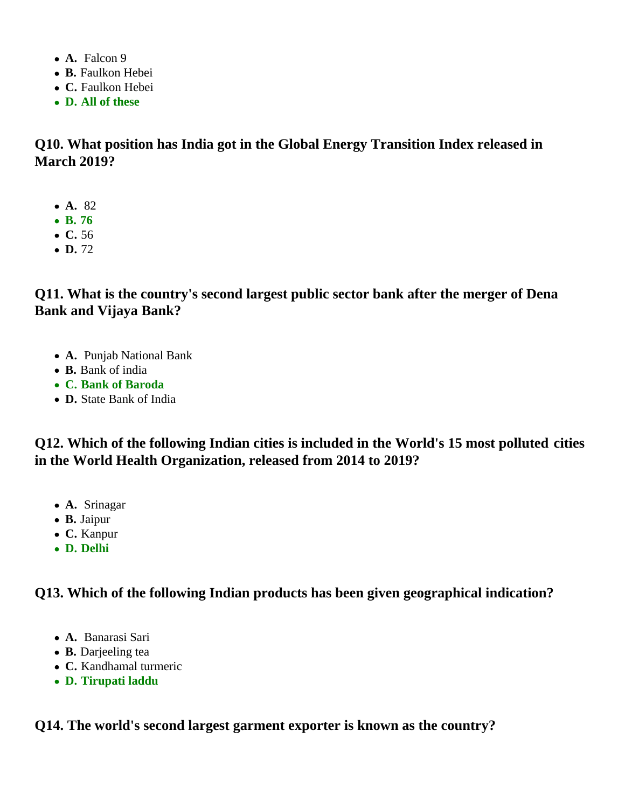- **A.** Falcon 9
- **B.** Faulkon Hebei
- **C.** Faulkon Hebei
- **D. All of these**

**Q10. What position has India got in the Global Energy Transition Index released in March 2019?**

- **A.** 82
- **B. 76**
- **C.** 56
- $\bullet$  **D.** 72

**Q11. What is the country's second largest public sector bank after the merger of Dena Bank and Vijaya Bank?**

- **A.** Punjab National Bank
- **B.** Bank of india
- **C. Bank of Baroda**
- **D.** State Bank of India

**Q12. Which of the following Indian cities is included in the World's 15 most polluted cities in the World Health Organization, released from 2014 to 2019?**

- **A.** Srinagar
- **B.** Jaipur
- **C.** Kanpur
- **D. Delhi**

**Q13. Which of the following Indian products has been given geographical indication?**

- **A.** Banarasi Sari
- **B.** Darjeeling tea
- **C.** Kandhamal turmeric
- **D. Tirupati laddu**

**Q14. The world's second largest garment exporter is known as the country?**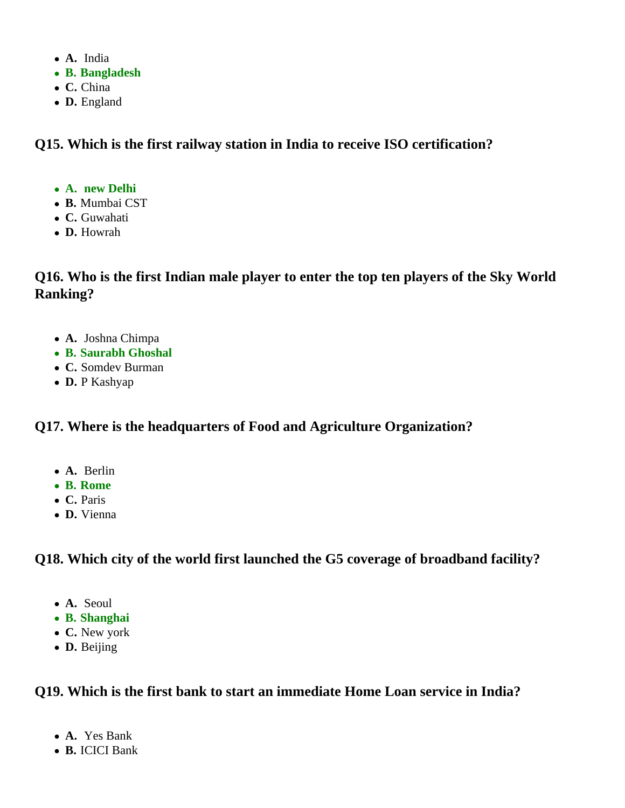- **A.** India
- **B. Bangladesh**
- **C.** China
- **D.** England

**Q15. Which is the first railway station in India to receive ISO certification?**

- **A. new Delhi**
- **B.** Mumbai CST
- **C.** Guwahati
- **D.** Howrah

**Q16. Who is the first Indian male player to enter the top ten players of the Sky World Ranking?**

- **A.** Joshna Chimpa
- **B. Saurabh Ghoshal**
- **C.** Somdev Burman
- **D.** P Kashyap

# **Q17. Where is the headquarters of Food and Agriculture Organization?**

- **A.** Berlin
- **B. Rome**
- **C.** Paris
- **D.** Vienna

**Q18. Which city of the world first launched the G5 coverage of broadband facility?**

- **A.** Seoul
- **B. Shanghai**
- **C.** New york
- **D.** Beijing

# **Q19. Which is the first bank to start an immediate Home Loan service in India?**

- **A.** Yes Bank
- **B.** ICICI Bank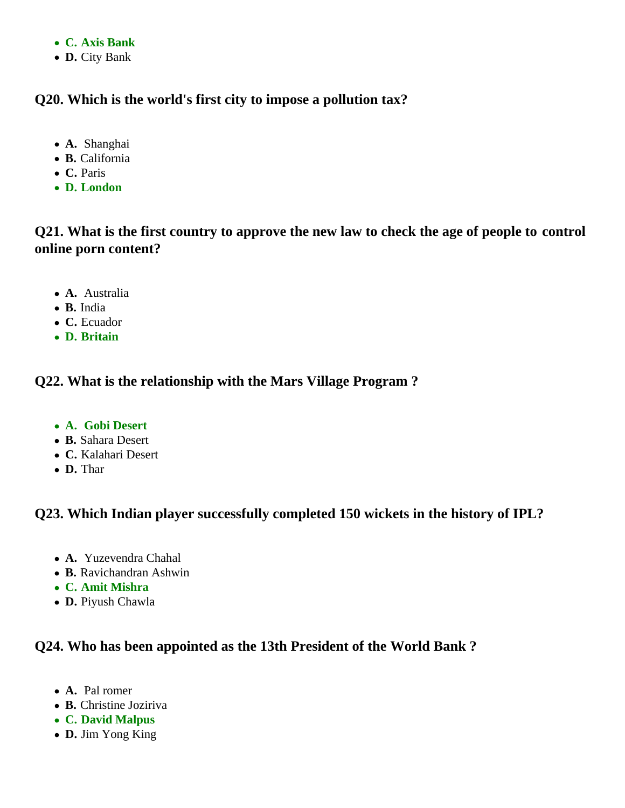- **C. Axis Bank**
- **D.** City Bank

## **Q20. Which is the world's first city to impose a pollution tax?**

- **A.** Shanghai
- **B.** California
- **C.** Paris
- **D. London**

# **Q21. What is the first country to approve the new law to check the age of people to control online porn content?**

- **A.** Australia
- **B.** India
- **C.** Ecuador
- **D. Britain**

## **Q22. What is the relationship with the Mars Village Program ?**

- **A. Gobi Desert**
- **B.** Sahara Desert
- **C.** Kalahari Desert
- **D.** Thar

## **Q23. Which Indian player successfully completed 150 wickets in the history of IPL?**

- **A.** Yuzevendra Chahal
- **B.** Ravichandran Ashwin
- **C. Amit Mishra**
- **D.** Piyush Chawla

## **Q24. Who has been appointed as the 13th President of the World Bank ?**

- **A.** Pal romer
- **B.** Christine Joziriva
- **C. David Malpus**
- **D.** Jim Yong King